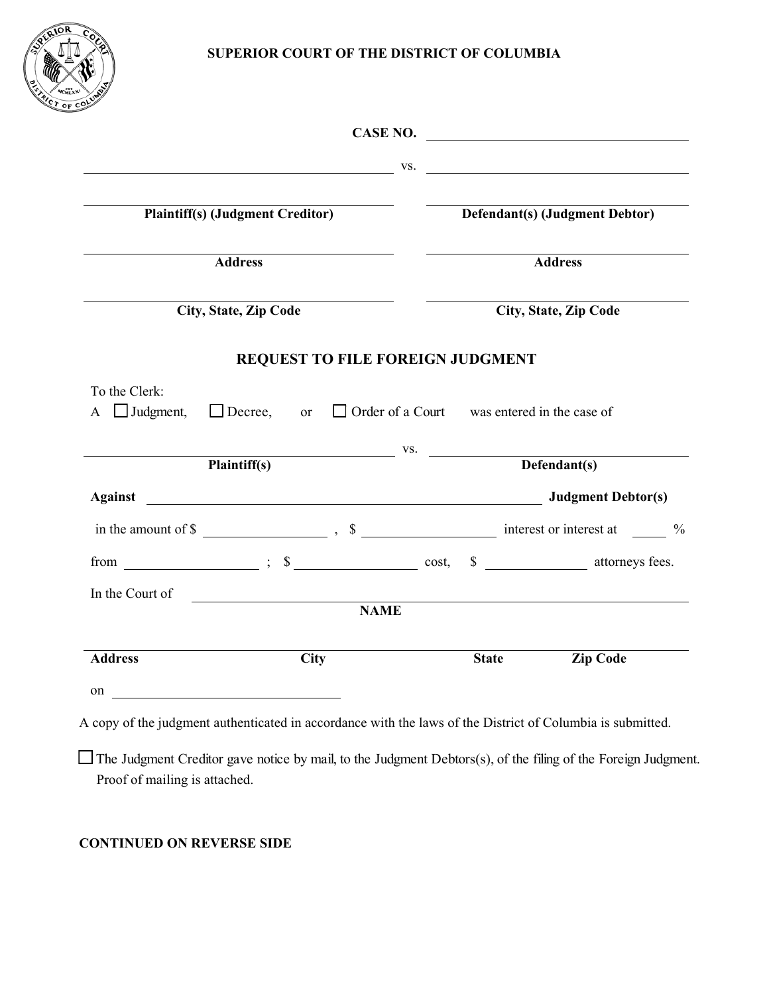

|                                                  |                                                                                                                                |             |                                | CASE NO. $\qquad \qquad$ |  |
|--------------------------------------------------|--------------------------------------------------------------------------------------------------------------------------------|-------------|--------------------------------|--------------------------|--|
|                                                  | $\mathbf{V}$ S.                                                                                                                |             |                                |                          |  |
| <b>Plaintiff(s) (Judgment Creditor)</b>          |                                                                                                                                |             | Defendant(s) (Judgment Debtor) |                          |  |
| <b>Address</b>                                   |                                                                                                                                |             | <b>Address</b>                 |                          |  |
| <b>City, State, Zip Code</b>                     |                                                                                                                                |             | <b>City, State, Zip Code</b>   |                          |  |
|                                                  | <b>REQUEST TO FILE FOREIGN JUDGMENT</b>                                                                                        |             |                                |                          |  |
| To the Clerk:<br>$\overline{A}$ $\Box$ Judgment, | $\Box$ Decree, or $\Box$ Order of a Court was entered in the case of                                                           |             |                                |                          |  |
| Plaintiff(s)                                     |                                                                                                                                |             | $V.S.$ Defendant(s)            |                          |  |
|                                                  |                                                                                                                                |             |                                |                          |  |
|                                                  | in the amount of $\frac{1}{2}$ $\frac{1}{2}$ $\frac{1}{2}$ $\frac{1}{2}$ $\frac{1}{2}$ interest or interest at $\frac{1}{2}$ % |             |                                |                          |  |
|                                                  |                                                                                                                                |             |                                |                          |  |
| In the Court of                                  |                                                                                                                                | <b>NAME</b> |                                |                          |  |
|                                                  |                                                                                                                                |             |                                |                          |  |
| <b>Address</b>                                   | <b>City</b>                                                                                                                    |             | <b>State</b>                   | <b>Zip Code</b>          |  |
| on                                               |                                                                                                                                |             |                                |                          |  |

A copy of the judgment authenticated in accordance with the laws of the District of Columbia is submitted.

The Judgment Creditor gave notice by mail, to the Judgment Debtors(s), of the filing of the Foreign Judgment. Proof of mailing is attached.

## **CONTINUED ON REVERSE SIDE**